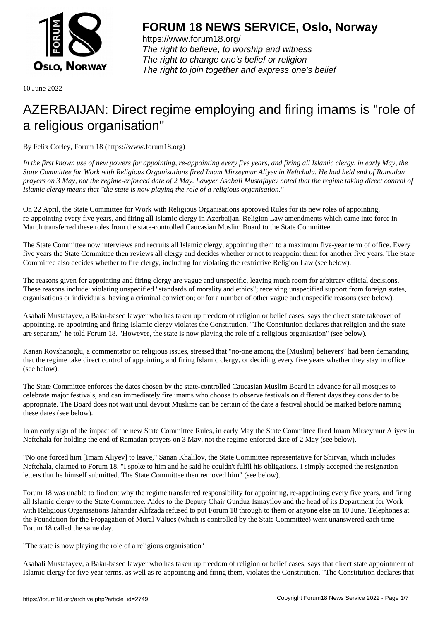

https://www.forum18.org/ The right to believe, to worship and witness The right to change one's belief or religion [The right to join together a](https://www.forum18.org/)nd express one's belief

10 June 2022

# [AZERBAIJAN: D](https://www.forum18.org)irect regime employing and firing imams is "role of a religious organisation"

By Felix Corley, Forum 18 (https://www.forum18.org)

*In the first known use of new powers for appointing, re-appointing every five years, and firing all Islamic clergy, in early May, the State Committee for Work with Religious Organisations fired Imam Mirseymur Aliyev in Neftchala. He had held end of Ramadan prayers on 3 May, not the regime-enforced date of 2 May. Lawyer Asabali Mustafayev noted that the regime taking direct control of Islamic clergy means that "the state is now playing the role of a religious organisation."*

On 22 April, the State Committee for Work with Religious Organisations approved Rules for its new roles of appointing, re-appointing every five years, and firing all Islamic clergy in Azerbaijan. Religion Law amendments which came into force in March transferred these roles from the state-controlled Caucasian Muslim Board to the State Committee.

The State Committee now interviews and recruits all Islamic clergy, appointing them to a maximum five-year term of office. Every five years the State Committee then reviews all clergy and decides whether or not to reappoint them for another five years. The State Committee also decides whether to fire clergy, including for violating the restrictive Religion Law (see below).

The reasons given for appointing and firing clergy are vague and unspecific, leaving much room for arbitrary official decisions. These reasons include: violating unspecified "standards of morality and ethics"; receiving unspecified support from foreign states, organisations or individuals; having a criminal conviction; or for a number of other vague and unspecific reasons (see below).

Asabali Mustafayev, a Baku-based lawyer who has taken up freedom of religion or belief cases, says the direct state takeover of appointing, re-appointing and firing Islamic clergy violates the Constitution. "The Constitution declares that religion and the state are separate," he told Forum 18. "However, the state is now playing the role of a religious organisation" (see below).

Kanan Rovshanoglu, a commentator on religious issues, stressed that "no-one among the [Muslim] believers" had been demanding that the regime take direct control of appointing and firing Islamic clergy, or deciding every five years whether they stay in office (see below).

The State Committee enforces the dates chosen by the state-controlled Caucasian Muslim Board in advance for all mosques to celebrate major festivals, and can immediately fire imams who choose to observe festivals on different days they consider to be appropriate. The Board does not wait until devout Muslims can be certain of the date a festival should be marked before naming these dates (see below).

In an early sign of the impact of the new State Committee Rules, in early May the State Committee fired Imam Mirseymur Aliyev in Neftchala for holding the end of Ramadan prayers on 3 May, not the regime-enforced date of 2 May (see below).

"No one forced him [Imam Aliyev] to leave," Sanan Khalilov, the State Committee representative for Shirvan, which includes Neftchala, claimed to Forum 18. "I spoke to him and he said he couldn't fulfil his obligations. I simply accepted the resignation letters that he himself submitted. The State Committee then removed him" (see below).

Forum 18 was unable to find out why the regime transferred responsibility for appointing, re-appointing every five years, and firing all Islamic clergy to the State Committee. Aides to the Deputy Chair Gunduz Ismayilov and the head of its Department for Work with Religious Organisations Jahandar Alifzada refused to put Forum 18 through to them or anyone else on 10 June. Telephones at the Foundation for the Propagation of Moral Values (which is controlled by the State Committee) went unanswered each time Forum 18 called the same day.

"The state is now playing the role of a religious organisation"

Asabali Mustafayev, a Baku-based lawyer who has taken up freedom of religion or belief cases, says that direct state appointment of Islamic clergy for five year terms, as well as re-appointing and firing them, violates the Constitution. "The Constitution declares that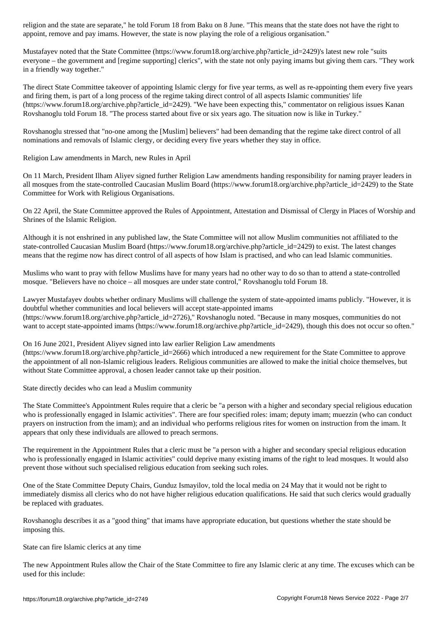appoint, remove and pay imams. However, the state is now playing the role of a religious organisation."

Mustafayev noted that the State Committee (https://www.forum18.org/archive.php?article\_id=2429)'s latest new role "suits everyone – the government and [regime supporting] clerics", with the state not only paying imams but giving them cars. "They work in a friendly way together."

The direct State Committee takeover of appointing Islamic clergy for five year terms, as well as re-appointing them every five years and firing them, is part of a long process of the regime taking direct control of all aspects Islamic communities' life (https://www.forum18.org/archive.php?article\_id=2429). "We have been expecting this," commentator on religious issues Kanan Rovshanoglu told Forum 18. "The process started about five or six years ago. The situation now is like in Turkey."

Rovshanoglu stressed that "no-one among the [Muslim] believers" had been demanding that the regime take direct control of all nominations and removals of Islamic clergy, or deciding every five years whether they stay in office.

Religion Law amendments in March, new Rules in April

On 11 March, President Ilham Aliyev signed further Religion Law amendments handing responsibility for naming prayer leaders in all mosques from the state-controlled Caucasian Muslim Board (https://www.forum18.org/archive.php?article\_id=2429) to the State Committee for Work with Religious Organisations.

On 22 April, the State Committee approved the Rules of Appointment, Attestation and Dismissal of Clergy in Places of Worship and Shrines of the Islamic Religion.

Although it is not enshrined in any published law, the State Committee will not allow Muslim communities not affiliated to the state-controlled Caucasian Muslim Board (https://www.forum18.org/archive.php?article\_id=2429) to exist. The latest changes means that the regime now has direct control of all aspects of how Islam is practised, and who can lead Islamic communities.

Muslims who want to pray with fellow Muslims have for many years had no other way to do so than to attend a state-controlled mosque. "Believers have no choice – all mosques are under state control," Rovshanoglu told Forum 18.

Lawyer Mustafayev doubts whether ordinary Muslims will challenge the system of state-appointed imams publicly. "However, it is doubtful whether communities and local believers will accept state-appointed imams (https://www.forum18.org/archive.php?article\_id=2726)," Rovshanoglu noted. "Because in many mosques, communities do not want to accept state-appointed imams (https://www.forum18.org/archive.php?article\_id=2429), though this does not occur so often."

On 16 June 2021, President Aliyev signed into law earlier Religion Law amendments

(https://www.forum18.org/archive.php?article\_id=2666) which introduced a new requirement for the State Committee to approve the appointment of all non-Islamic religious leaders. Religious communities are allowed to make the initial choice themselves, but without State Committee approval, a chosen leader cannot take up their position.

State directly decides who can lead a Muslim community

The State Committee's Appointment Rules require that a cleric be "a person with a higher and secondary special religious education who is professionally engaged in Islamic activities". There are four specified roles: imam; deputy imam; muezzin (who can conduct prayers on instruction from the imam); and an individual who performs religious rites for women on instruction from the imam. It appears that only these individuals are allowed to preach sermons.

The requirement in the Appointment Rules that a cleric must be "a person with a higher and secondary special religious education who is professionally engaged in Islamic activities" could deprive many existing imams of the right to lead mosques. It would also prevent those without such specialised religious education from seeking such roles.

One of the State Committee Deputy Chairs, Gunduz Ismayilov, told the local media on 24 May that it would not be right to immediately dismiss all clerics who do not have higher religious education qualifications. He said that such clerics would gradually be replaced with graduates.

Rovshanoglu describes it as a "good thing" that imams have appropriate education, but questions whether the state should be imposing this.

State can fire Islamic clerics at any time

The new Appointment Rules allow the Chair of the State Committee to fire any Islamic cleric at any time. The excuses which can be used for this include: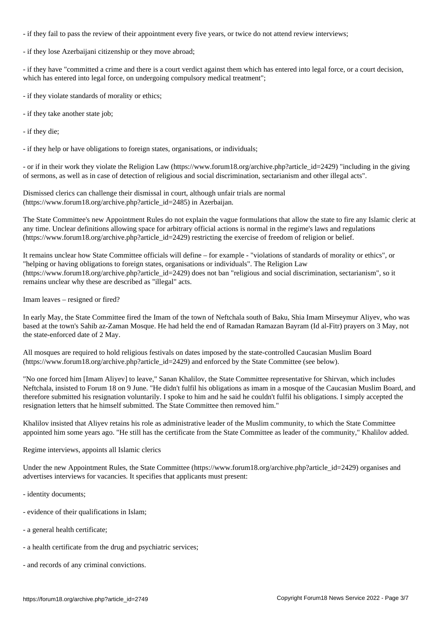- if they fail to pass the review of their appointment every five years, or twice do not attend review interviews;

- if they lose Azerbaijani citizenship or they move abroad;

- if they have "committed a crime and there is a court verdict against them which has entered into legal force, or a court decision, which has entered into legal force, on undergoing compulsory medical treatment";

- if they violate standards of morality or ethics;

- if they take another state job;

- if they die;

- if they help or have obligations to foreign states, organisations, or individuals;

- or if in their work they violate the Religion Law (https://www.forum18.org/archive.php?article\_id=2429) "including in the giving of sermons, as well as in case of detection of religious and social discrimination, sectarianism and other illegal acts".

Dismissed clerics can challenge their dismissal in court, although unfair trials are normal (https://www.forum18.org/archive.php?article\_id=2485) in Azerbaijan.

The State Committee's new Appointment Rules do not explain the vague formulations that allow the state to fire any Islamic cleric at any time. Unclear definitions allowing space for arbitrary official actions is normal in the regime's laws and regulations (https://www.forum18.org/archive.php?article\_id=2429) restricting the exercise of freedom of religion or belief.

It remains unclear how State Committee officials will define – for example - "violations of standards of morality or ethics", or "helping or having obligations to foreign states, organisations or individuals". The Religion Law (https://www.forum18.org/archive.php?article\_id=2429) does not ban "religious and social discrimination, sectarianism", so it remains unclear why these are described as "illegal" acts.

Imam leaves – resigned or fired?

In early May, the State Committee fired the Imam of the town of Neftchala south of Baku, Shia Imam Mirseymur Aliyev, who was based at the town's Sahib az-Zaman Mosque. He had held the end of Ramadan Ramazan Bayram (Id al-Fitr) prayers on 3 May, not the state-enforced date of 2 May.

All mosques are required to hold religious festivals on dates imposed by the state-controlled Caucasian Muslim Board (https://www.forum18.org/archive.php?article\_id=2429) and enforced by the State Committee (see below).

"No one forced him [Imam Aliyev] to leave," Sanan Khalilov, the State Committee representative for Shirvan, which includes Neftchala, insisted to Forum 18 on 9 June. "He didn't fulfil his obligations as imam in a mosque of the Caucasian Muslim Board, and therefore submitted his resignation voluntarily. I spoke to him and he said he couldn't fulfil his obligations. I simply accepted the resignation letters that he himself submitted. The State Committee then removed him."

Khalilov insisted that Aliyev retains his role as administrative leader of the Muslim community, to which the State Committee appointed him some years ago. "He still has the certificate from the State Committee as leader of the community," Khalilov added.

## Regime interviews, appoints all Islamic clerics

Under the new Appointment Rules, the State Committee (https://www.forum18.org/archive.php?article\_id=2429) organises and advertises interviews for vacancies. It specifies that applicants must present:

- identity documents;
- evidence of their qualifications in Islam;
- a general health certificate;
- a health certificate from the drug and psychiatric services;
- and records of any criminal convictions.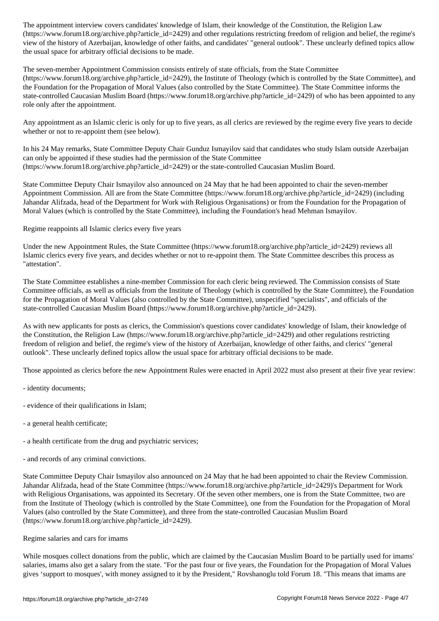(https://www.forumlations.com/distinguisting freedom of regime  $\rho$  regime  $\rho$  religions regime is regime to regime the regime is regime. The regime is regime to regime the regime is regime to regime the regime is regime view of the history of Azerbaijan, knowledge of other faiths, and candidates' "general outlook". These unclearly defined topics allow the usual space for arbitrary official decisions to be made.

The seven-member Appointment Commission consists entirely of state officials, from the State Committee (https://www.forum18.org/archive.php?article\_id=2429), the Institute of Theology (which is controlled by the State Committee), and the Foundation for the Propagation of Moral Values (also controlled by the State Committee). The State Committee informs the state-controlled Caucasian Muslim Board (https://www.forum18.org/archive.php?article\_id=2429) of who has been appointed to any role only after the appointment.

Any appointment as an Islamic cleric is only for up to five years, as all clerics are reviewed by the regime every five years to decide whether or not to re-appoint them (see below).

In his 24 May remarks, State Committee Deputy Chair Gunduz Ismayilov said that candidates who study Islam outside Azerbaijan can only be appointed if these studies had the permission of the State Committee (https://www.forum18.org/archive.php?article\_id=2429) or the state-controlled Caucasian Muslim Board.

State Committee Deputy Chair Ismayilov also announced on 24 May that he had been appointed to chair the seven-member Appointment Commission. All are from the State Committee (https://www.forum18.org/archive.php?article\_id=2429) (including Jahandar Alifzada, head of the Department for Work with Religious Organisations) or from the Foundation for the Propagation of Moral Values (which is controlled by the State Committee), including the Foundation's head Mehman Ismayilov.

Regime reappoints all Islamic clerics every five years

Under the new Appointment Rules, the State Committee (https://www.forum18.org/archive.php?article\_id=2429) reviews all Islamic clerics every five years, and decides whether or not to re-appoint them. The State Committee describes this process as "attestation".

The State Committee establishes a nine-member Commission for each cleric being reviewed. The Commission consists of State Committee officials, as well as officials from the Institute of Theology (which is controlled by the State Committee), the Foundation for the Propagation of Moral Values (also controlled by the State Committee), unspecified "specialists", and officials of the state-controlled Caucasian Muslim Board (https://www.forum18.org/archive.php?article\_id=2429).

As with new applicants for posts as clerics, the Commission's questions cover candidates' knowledge of Islam, their knowledge of the Constitution, the Religion Law (https://www.forum18.org/archive.php?article\_id=2429) and other regulations restricting freedom of religion and belief, the regime's view of the history of Azerbaijan, knowledge of other faiths, and clerics' "general outlook". These unclearly defined topics allow the usual space for arbitrary official decisions to be made.

Those appointed as clerics before the new Appointment Rules were enacted in April 2022 must also present at their five year review:

- identity documents;
- evidence of their qualifications in Islam;
- a general health certificate;
- a health certificate from the drug and psychiatric services;
- and records of any criminal convictions.

State Committee Deputy Chair Ismayilov also announced on 24 May that he had been appointed to chair the Review Commission. Jahandar Alifzada, head of the State Committee (https://www.forum18.org/archive.php?article\_id=2429)'s Department for Work with Religious Organisations, was appointed its Secretary. Of the seven other members, one is from the State Committee, two are from the Institute of Theology (which is controlled by the State Committee), one from the Foundation for the Propagation of Moral Values (also controlled by the State Committee), and three from the state-controlled Caucasian Muslim Board (https://www.forum18.org/archive.php?article\_id=2429).

## Regime salaries and cars for imams

While mosques collect donations from the public, which are claimed by the Caucasian Muslim Board to be partially used for imams' salaries, imams also get a salary from the state. "For the past four or five years, the Foundation for the Propagation of Moral Values gives 'support to mosques', with money assigned to it by the President," Rovshanoglu told Forum 18. "This means that imams are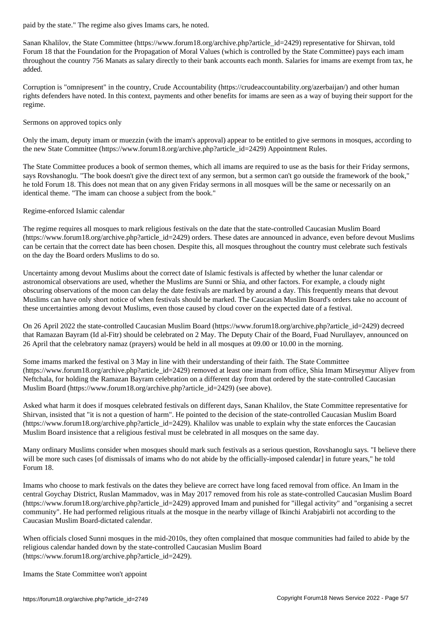Sanan Khalilov, the State Committee (https://www.forum18.org/archive.php?article\_id=2429) representative for Shirvan, told Forum 18 that the Foundation for the Propagation of Moral Values (which is controlled by the State Committee) pays each imam throughout the country 756 Manats as salary directly to their bank accounts each month. Salaries for imams are exempt from tax, he added.

Corruption is "omnipresent" in the country, Crude Accountability (https://crudeaccountability.org/azerbaijan/) and other human rights defenders have noted. In this context, payments and other benefits for imams are seen as a way of buying their support for the regime.

#### Sermons on approved topics only

Only the imam, deputy imam or muezzin (with the imam's approval) appear to be entitled to give sermons in mosques, according to the new State Committee (https://www.forum18.org/archive.php?article\_id=2429) Appointment Rules.

The State Committee produces a book of sermon themes, which all imams are required to use as the basis for their Friday sermons, says Rovshanoglu. "The book doesn't give the direct text of any sermon, but a sermon can't go outside the framework of the book," he told Forum 18. This does not mean that on any given Friday sermons in all mosques will be the same or necessarily on an identical theme. "The imam can choose a subject from the book."

#### Regime-enforced Islamic calendar

The regime requires all mosques to mark religious festivals on the date that the state-controlled Caucasian Muslim Board (https://www.forum18.org/archive.php?article\_id=2429) orders. These dates are announced in advance, even before devout Muslims can be certain that the correct date has been chosen. Despite this, all mosques throughout the country must celebrate such festivals on the day the Board orders Muslims to do so.

Uncertainty among devout Muslims about the correct date of Islamic festivals is affected by whether the lunar calendar or astronomical observations are used, whether the Muslims are Sunni or Shia, and other factors. For example, a cloudy night obscuring observations of the moon can delay the date festivals are marked by around a day. This frequently means that devout Muslims can have only short notice of when festivals should be marked. The Caucasian Muslim Board's orders take no account of these uncertainties among devout Muslims, even those caused by cloud cover on the expected date of a festival.

On 26 April 2022 the state-controlled Caucasian Muslim Board (https://www.forum18.org/archive.php?article\_id=2429) decreed that Ramazan Bayram (Id al-Fitr) should be celebrated on 2 May. The Deputy Chair of the Board, Fuad Nurullayev, announced on 26 April that the celebratory namaz (prayers) would be held in all mosques at 09.00 or 10.00 in the morning.

Some imams marked the festival on 3 May in line with their understanding of their faith. The State Committee (https://www.forum18.org/archive.php?article\_id=2429) removed at least one imam from office, Shia Imam Mirseymur Aliyev from Neftchala, for holding the Ramazan Bayram celebration on a different day from that ordered by the state-controlled Caucasian Muslim Board (https://www.forum18.org/archive.php?article\_id=2429) (see above).

Asked what harm it does if mosques celebrated festivals on different days, Sanan Khalilov, the State Committee representative for Shirvan, insisted that "it is not a question of harm". He pointed to the decision of the state-controlled Caucasian Muslim Board  $(\text{https://www.forum18.org/archive.php?article id=2429})$ . Khalilov was unable to explain why the state enforces the Caucasian Muslim Board insistence that a religious festival must be celebrated in all mosques on the same day.

Many ordinary Muslims consider when mosques should mark such festivals as a serious question, Rovshanoglu says. "I believe there will be more such cases [of dismissals of imams who do not abide by the officially-imposed calendar] in future years," he told Forum 18.

Imams who choose to mark festivals on the dates they believe are correct have long faced removal from office. An Imam in the central Goychay District, Ruslan Mammadov, was in May 2017 removed from his role as state-controlled Caucasian Muslim Board (https://www.forum18.org/archive.php?article\_id=2429) approved Imam and punished for "illegal activity" and "organising a secret community". He had performed religious rituals at the mosque in the nearby village of Ikinchi Arabjabirli not according to the Caucasian Muslim Board-dictated calendar.

When officials closed Sunni mosques in the mid-2010s, they often complained that mosque communities had failed to abide by the religious calendar handed down by the state-controlled Caucasian Muslim Board (https://www.forum18.org/archive.php?article\_id=2429).

Imams the State Committee won't appoint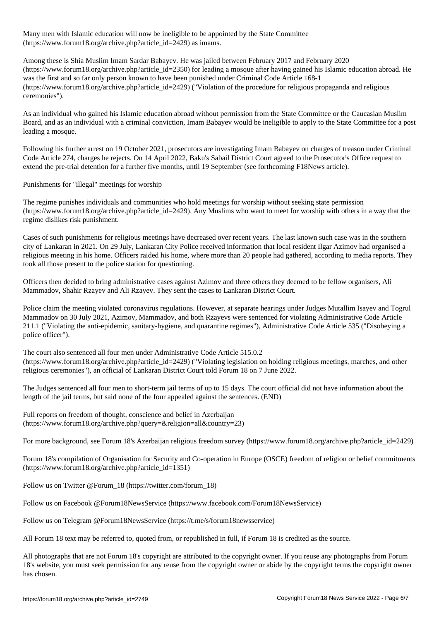Many men with Islamic education will now be ineligible to be appointed by the State Committee (https://www.forum18.org/archive.php?article\_id=2429) as imams.

Among these is Shia Muslim Imam Sardar Babayev. He was jailed between February 2017 and February 2020 (https://www.forum18.org/archive.php?article\_id=2350) for leading a mosque after having gained his Islamic education abroad. He was the first and so far only person known to have been punished under Criminal Code Article 168-1 (https://www.forum18.org/archive.php?article\_id=2429) ("Violation of the procedure for religious propaganda and religious ceremonies").

As an individual who gained his Islamic education abroad without permission from the State Committee or the Caucasian Muslim Board, and as an individual with a criminal conviction, Imam Babayev would be ineligible to apply to the State Committee for a post leading a mosque.

Following his further arrest on 19 October 2021, prosecutors are investigating Imam Babayev on charges of treason under Criminal Code Article 274, charges he rejects. On 14 April 2022, Baku's Sabail District Court agreed to the Prosecutor's Office request to extend the pre-trial detention for a further five months, until 19 September (see forthcoming F18News article).

Punishments for "illegal" meetings for worship

The regime punishes individuals and communities who hold meetings for worship without seeking state permission (https://www.forum18.org/archive.php?article\_id=2429). Any Muslims who want to meet for worship with others in a way that the regime dislikes risk punishment.

Cases of such punishments for religious meetings have decreased over recent years. The last known such case was in the southern city of Lankaran in 2021. On 29 July, Lankaran City Police received information that local resident Ilgar Azimov had organised a religious meeting in his home. Officers raided his home, where more than 20 people had gathered, according to media reports. They took all those present to the police station for questioning.

Officers then decided to bring administrative cases against Azimov and three others they deemed to be fellow organisers, Ali Mammadov, Shahir Rzayev and Ali Rzayev. They sent the cases to Lankaran District Court.

Police claim the meeting violated coronavirus regulations. However, at separate hearings under Judges Mutallim Isayev and Togrul Mammadov on 30 July 2021, Azimov, Mammadov, and both Rzayevs were sentenced for violating Administrative Code Article 211.1 ("Violating the anti-epidemic, sanitary-hygiene, and quarantine regimes"), Administrative Code Article 535 ("Disobeying a police officer").

The court also sentenced all four men under Administrative Code Article 515.0.2 (https://www.forum18.org/archive.php?article\_id=2429) ("Violating legislation on holding religious meetings, marches, and other religious ceremonies"), an official of Lankaran District Court told Forum 18 on 7 June 2022.

The Judges sentenced all four men to short-term jail terms of up to 15 days. The court official did not have information about the length of the jail terms, but said none of the four appealed against the sentences. (END)

Full reports on freedom of thought, conscience and belief in Azerbaijan (https://www.forum18.org/archive.php?query=&religion=all&country=23)

For more background, see Forum 18's Azerbaijan religious freedom survey (https://www.forum18.org/archive.php?article\_id=2429)

Forum 18's compilation of Organisation for Security and Co-operation in Europe (OSCE) freedom of religion or belief commitments (https://www.forum18.org/archive.php?article\_id=1351)

Follow us on Twitter @Forum\_18 (https://twitter.com/forum\_18)

Follow us on Facebook @Forum18NewsService (https://www.facebook.com/Forum18NewsService)

Follow us on Telegram @Forum18NewsService (https://t.me/s/forum18newsservice)

All Forum 18 text may be referred to, quoted from, or republished in full, if Forum 18 is credited as the source.

All photographs that are not Forum 18's copyright are attributed to the copyright owner. If you reuse any photographs from Forum 18's website, you must seek permission for any reuse from the copyright owner or abide by the copyright terms the copyright owner has chosen.